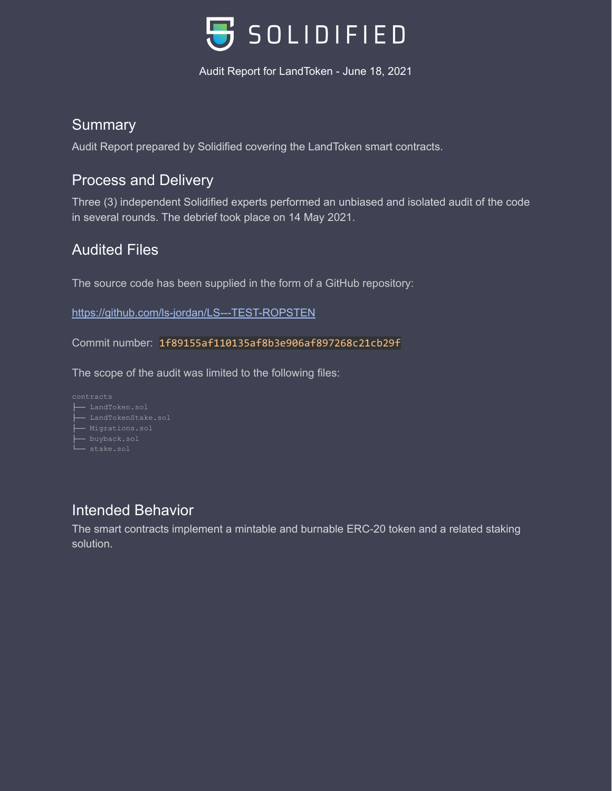

#### **Summary**

Audit Report prepared by Solidified covering the LandToken smart contracts.

## Process and Delivery

Three (3) independent Solidified experts performed an unbiased and isolated audit of the code in several rounds. The debrief took place on 14 May 2021.

## Audited Files

The source code has been supplied in the form of a GitHub repository:

<https://github.com/ls-jordan/LS---TEST-ROPSTEN>

Commit number: 1f89155af110135af8b3e906af897268c21cb29f

The scope of the audit was limited to the following files:

├── LandToken.sol ├── buyback.sol - stake.sol

## Intended Behavior

The smart contracts implement a mintable and burnable ERC-20 token and a related staking solution.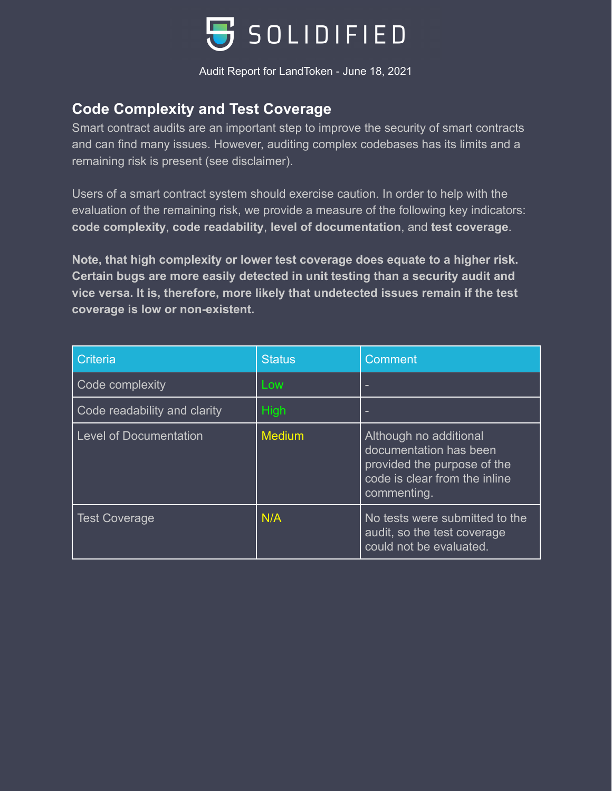

## **Code Complexity and Test Coverage**

Smart contract audits are an important step to improve the security of smart contracts and can find many issues. However, auditing complex codebases has its limits and a remaining risk is present (see disclaimer).

Users of a smart contract system should exercise caution. In order to help with the evaluation of the remaining risk, we provide a measure of the following key indicators: **code complexity**, **code readability**, **level of documentation**, and **test coverage**.

**Note, that high complexity or lower test coverage does equate to a higher risk. Certain bugs are more easily detected in unit testing than a security audit and vice versa. It is, therefore, more likely that undetected issues remain if the test coverage is low or non-existent.**

| Criteria                      | <b>Status</b> | Comment                                                                                                                         |  |
|-------------------------------|---------------|---------------------------------------------------------------------------------------------------------------------------------|--|
| Code complexity               | Low           |                                                                                                                                 |  |
| Code readability and clarity  | <b>High</b>   |                                                                                                                                 |  |
| <b>Level of Documentation</b> | <b>Medium</b> | Although no additional<br>documentation has been<br>provided the purpose of the<br>code is clear from the inline<br>commenting. |  |
| <b>Test Coverage</b>          | N/A           | No tests were submitted to the<br>audit, so the test coverage<br>could not be evaluated.                                        |  |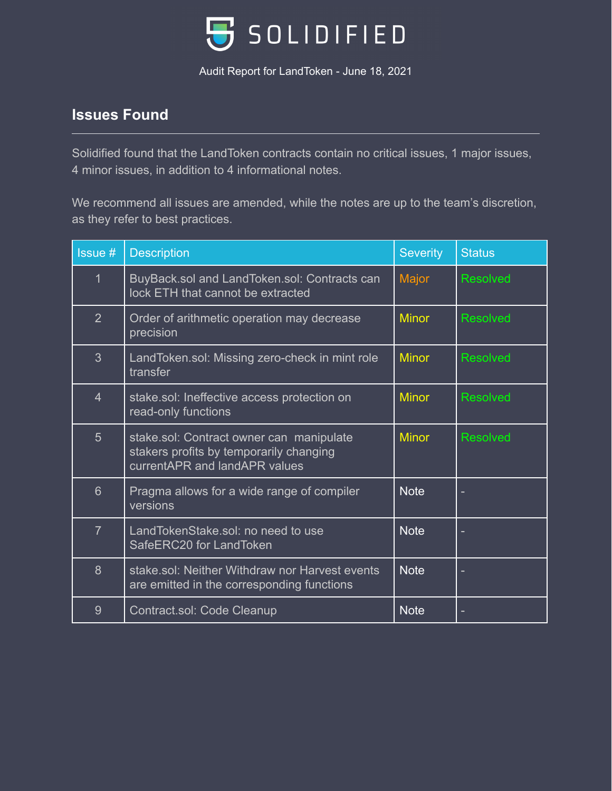

## **Issues Found**

Solidified found that the LandToken contracts contain no critical issues, 1 major issues, 4 minor issues, in addition to 4 informational notes.

We recommend all issues are amended, while the notes are up to the team's discretion, as they refer to best practices.

| Issue #         | <b>Description</b>                                                                                                   | <b>Severity</b> | <b>Status</b>   |
|-----------------|----------------------------------------------------------------------------------------------------------------------|-----------------|-----------------|
| $\mathbf 1$     | BuyBack.sol and LandToken.sol: Contracts can<br>lock ETH that cannot be extracted                                    | Major           | <b>Resolved</b> |
| $\overline{2}$  | Order of arithmetic operation may decrease<br>precision                                                              | <b>Minor</b>    | <b>Resolved</b> |
| $\overline{3}$  | LandToken.sol: Missing zero-check in mint role<br>transfer                                                           | <b>Minor</b>    | <b>Resolved</b> |
| $\overline{4}$  | stake.sol: Ineffective access protection on<br>read-only functions                                                   | <b>Minor</b>    | <b>Resolved</b> |
| $5\overline{)}$ | stake.sol: Contract owner can manipulate<br>stakers profits by temporarily changing<br>currentAPR and landAPR values | <b>Minor</b>    | <b>Resolved</b> |
| $6\overline{6}$ | Pragma allows for a wide range of compiler<br>versions                                                               | <b>Note</b>     |                 |
| $\overline{7}$  | LandTokenStake.sol: no need to use<br>SafeERC20 for LandToken                                                        | <b>Note</b>     |                 |
| 8               | stake.sol: Neither Withdraw nor Harvest events<br>are emitted in the corresponding functions                         | <b>Note</b>     |                 |
| 9               | Contract.sol: Code Cleanup                                                                                           | <b>Note</b>     |                 |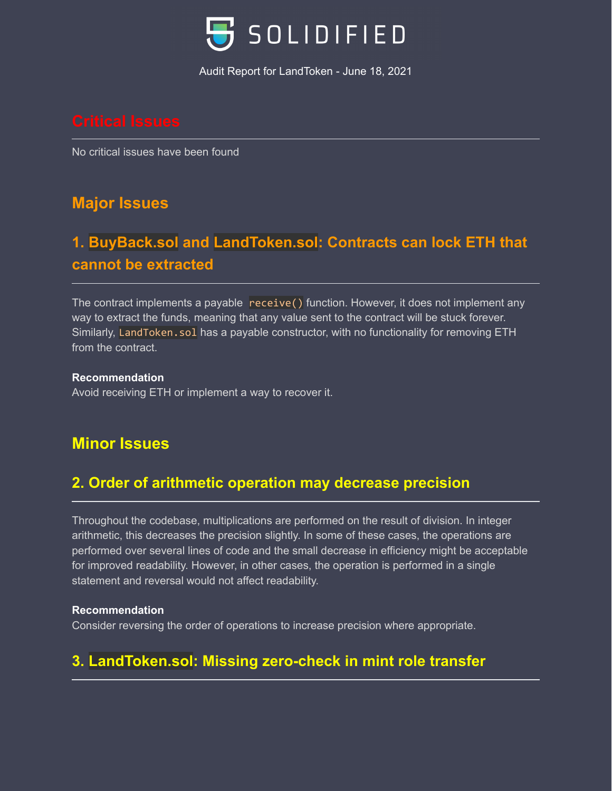

No critical issues have been found

# **Major Issues**

# **1. BuyBack.sol and LandToken.sol: Contracts can lock ETH that cannot be extracted**

The contract implements a payable receive() function. However, it does not implement any way to extract the funds, meaning that any value sent to the contract will be stuck forever. Similarly, LandToken.sol has a payable constructor, with no functionality for removing ETH from the contract.

#### **Recommendation**

Avoid receiving ETH or implement a way to recover it.

## **Minor Issues**

## **2. Order of arithmetic operation may decrease precision**

Throughout the codebase, multiplications are performed on the result of division. In integer arithmetic, this decreases the precision slightly. In some of these cases, the operations are performed over several lines of code and the small decrease in efficiency might be acceptable for improved readability. However, in other cases, the operation is performed in a single statement and reversal would not affect readability.

#### **Recommendation**

Consider reversing the order of operations to increase precision where appropriate.

# **3. LandToken.sol: Missing zero-check in mint role transfer**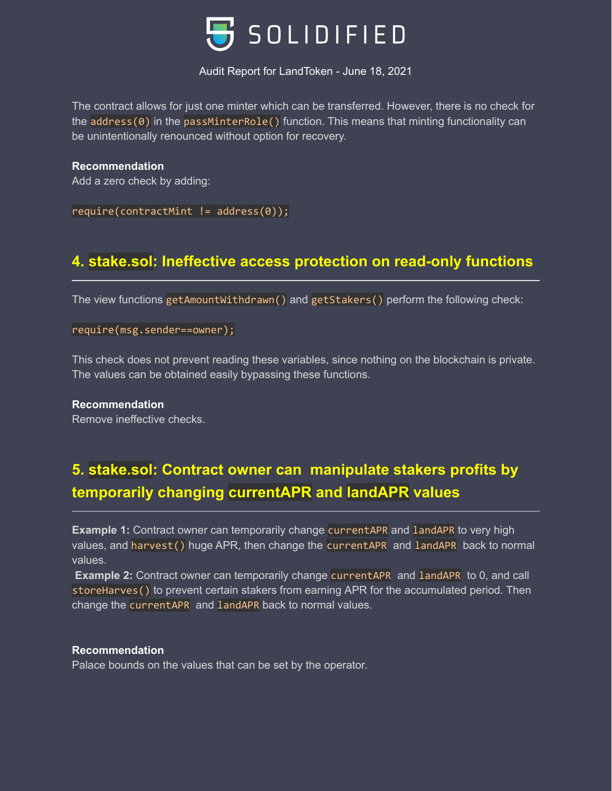

The contract allows for just one minter which can be transferred. However, there is no check for the address(0) in the passMinterRole() function. This means that minting functionality can be unintentionally renounced without option for recovery.

**Recommendation** Add a zero check by adding:

 $require(contractMint != address(0));$ 

## **4. stake.sol: Ineffective access protection on read-only functions**

The view functions getAmountWithdrawn() and getStakers() perform the following check:

require(msg.sender==owner);

This check does not prevent reading these variables, since nothing on the blockchain is private. The values can be obtained easily bypassing these functions.

**Recommendation** Remove ineffective checks.

# **5. stake.sol: Contract owner can manipulate stakers profits by temporarily changing currentAPR and landAPR values**

**Example 1:** Contract owner can temporarily change currentAPR and landAPR to very high values, and harvest() huge APR, then change the currentAPR and landAPR back to normal values.

**Example 2:** Contract owner can temporarily change currentAPR and landAPR to 0, and call storeHarves() to prevent certain stakers from earning APR for the accumulated period. Then change the currentAPR and landAPR back to normal values.

#### **Recommendation**

Palace bounds on the values that can be set by the operator.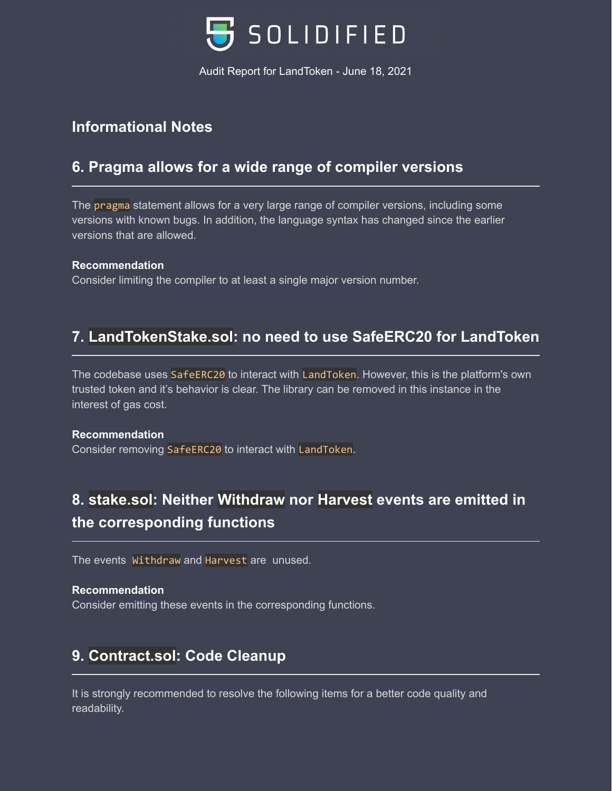

## **Informational Notes**

#### **6. Pragma allows for a wide range of compiler versions**

The pragma statement allows for a very large range of compiler versions, including some versions with known bugs. In addition, the language syntax has changed since the earlier versions that are allowed.

#### **Recommendation**

Consider limiting the compiler to at least a single major version number.

#### **7. LandTokenStake.sol: no need to use SafeERC20 for LandToken**

The codebase uses SafeERC20 to interact with LandToken. However, this is the platform's own trusted token and it's behavior is clear. The library can be removed in this instance in the interest of gas cost.

#### **Recommendation**

Consider removing SafeERC20 to interact with LandToken.

# **8. stake.sol: Neither Withdraw nor Harvest events are emitted in the corresponding functions**

The events Withdraw and Harvest are unused.

#### **Recommendation**

Consider emitting these events in the corresponding functions.

## **9. Contract.sol: Code Cleanup**

It is strongly recommended to resolve the following items for a better code quality and readability.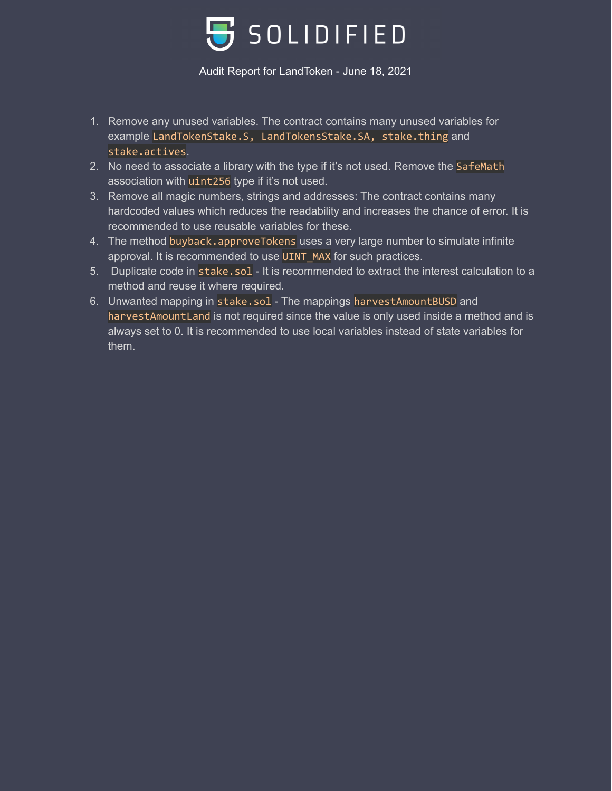

- 1. Remove any unused variables. The contract contains many unused variables for example LandTokenStake.S, LandTokensStake.SA, stake.thing and stake.actives.
- 2. No need to associate a library with the type if it's not used. Remove the SafeMath association with uint256 type if it's not used.
- 3. Remove all magic numbers, strings and addresses: The contract contains many hardcoded values which reduces the readability and increases the chance of error. It is recommended to use reusable variables for these.
- 4. The method buyback.approveTokens uses a very large number to simulate infinite approval. It is recommended to use UINT\_MAX for such practices.
- 5. Duplicate code in stake.sol It is recommended to extract the interest calculation to a method and reuse it where required.
- 6. Unwanted mapping in stake.sol The mappings harvestAmountBUSD and harvestAmountLand is not required since the value is only used inside a method and is always set to 0. It is recommended to use local variables instead of state variables for them.